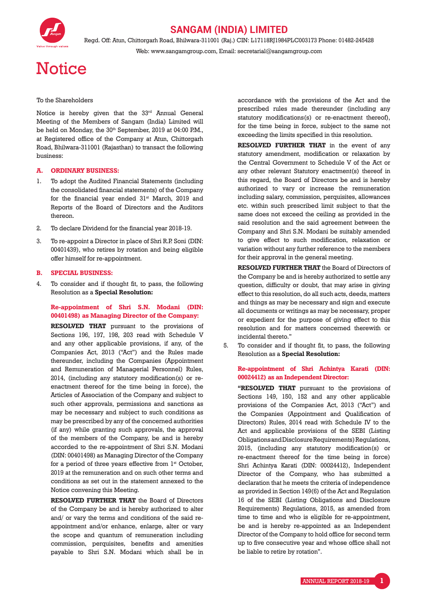

### **SANGAM (INDIA) LIMITED**

Regd. Off: Atun, Chittorgarh Road, Bhilwara-311001 (Raj.) CIN: L17118RJ1984PLC003173 Phone: 01482-245428 Web: www.sangamgroup.com, Email: secretarial@sangamgroup.com

# **Notice**

### To the Shareholders

Notice is hereby given that the 33<sup>rd</sup> Annual General Meeting of the Members of Sangam (India) Limited will be held on Monday, the 30<sup>th</sup> September, 2019 at 04:00 P.M., at Registered office of the Company at Atun, Chittorgarh Road, Bhilwara-311001 (Rajasthan) to transact the following business:

### **A. ORDINARY BUSINESS:**

- 1. To adopt the Audited Financial Statements (including the consolidated financial statements) of the Company for the financial year ended  $31<sup>st</sup>$  March, 2019 and Reports of the Board of Directors and the Auditors thereon.
- 2. To declare Dividend for the financial year 2018-19.
- 3. To re-appoint a Director in place of Shri R.P. Soni (DIN: 00401439), who retires by rotation and being eligible offer himself for re-appointment.

#### **B. SPECIAL BUSINESS:**

4. To consider and if thought fit, to pass, the following Resolution as a **Special Resolution:**

### **Re-appointment of Shri S.N. Modani (DIN: 00401498) as Managing Director of the Company:**

**RESOLVED THAT** pursuant to the provisions of Sections 196, 197, 198, 203 read with Schedule V and any other applicable provisions, if any, of the Companies Act, 2013 ("Act") and the Rules made thereunder, including the Companies (Appointment and Remuneration of Managerial Personnel) Rules, 2014, (including any statutory modification(s) or reenactment thereof for the time being in force), the Articles of Association of the Company and subject to such other approvals, permissions and sanctions as may be necessary and subject to such conditions as may be prescribed by any of the concerned authorities (if any) while granting such approvals, the approval of the members of the Company, be and is hereby accorded to the re-appointment of Shri S.N. Modani (DIN: 00401498) as Managing Director of the Company for a period of three years effective from 1<sup>st</sup> October, 2019 at the remuneration and on such other terms and conditions as set out in the statement annexed to the Notice convening this Meeting.

**RESOLVED FURTHER THAT** the Board of Directors of the Company be and is hereby authorized to alter and/ or vary the terms and conditions of the said reappointment and/or enhance, enlarge, alter or vary the scope and quantum of remuneration including commission, perquisites, benefits and amenities payable to Shri S.N. Modani which shall be in

accordance with the provisions of the Act and the prescribed rules made thereunder (including any statutory modifications(s) or re-enactment thereof), for the time being in force, subject to the same not exceeding the limits specified in this resolution.

**RESOLVED FURTHER THAT** in the event of any statutory amendment, modification or relaxation by the Central Government to Schedule V of the Act or any other relevant Statutory enactment(s) thereof in this regard, the Board of Directors be and is hereby authorized to vary or increase the remuneration including salary, commission, perquisites, allowances etc. within such prescribed limit subject to that the same does not exceed the ceiling as provided in the said resolution and the said agreement between the Company and Shri S.N. Modani be suitably amended to give effect to such modification, relaxation or variation without any further reference to the members for their approval in the general meeting.

**RESOLVED FURTHER THAT** the Board of Directors of the Company be and is hereby authorized to settle any question, difficulty or doubt, that may arise in giving effect to this resolution, do all such acts, deeds, matters and things as may be necessary and sign and execute all documents or writings as may be necessary, proper or expedient for the purpose of giving effect to this resolution and for matters concerned therewith or incidental thereto."

5. To consider and if thought fit, to pass, the following Resolution as a **Special Resolution:**

### **Re-appointment of Shri Achintya Karati (DIN: 00024412) as an Independent Director:**

 **"RESOLVED THAT** pursuant to the provisions of Sections 149, 150, 152 and any other applicable provisions of the Companies Act, 2013 ("Act") and the Companies (Appointment and Qualification of Directors) Rules, 2014 read with Schedule IV to the Act and applicable provisions of the SEBI (Listing Obligations and Disclosure Requirements) Regulations, 2015, (including any statutory modification(s) or re-enactment thereof for the time being in force) Shri Achintya Karati (DIN: 00024412), Independent Director of the Company, who has submitted a declaration that he meets the criteria of independence as provided in Section 149(6) of the Act and Regulation 16 of the SEBI (Listing Obligations and Disclosure Requirements) Regulations, 2015, as amended from time to time and who is eligible for re-appointment, be and is hereby re-appointed as an Independent Director of the Company to hold office for second term up to five consecutive year and whose office shall not be liable to retire by rotation".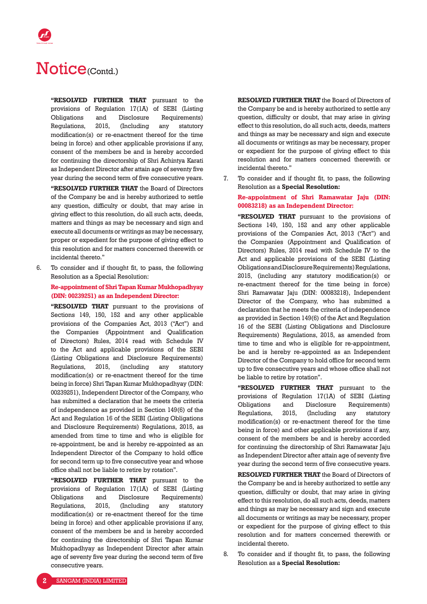**"RESOLVED FURTHER THAT** pursuant to the provisions of Regulation 17(1A) of SEBI (Listing Obligations and Disclosure Requirements) Regulations, 2015, (Including any statutory modification(s) or re-enactment thereof for the time being in force) and other applicable provisions if any, consent of the members be and is hereby accorded for continuing the directorship of Shri Achintya Karati as Independent Director after attain age of seventy five year during the second term of five consecutive years.  **"RESOLVED FURTHER THAT** the Board of Directors of the Company be and is hereby authorized to settle any question, difficulty or doubt, that may arise in giving effect to this resolution, do all such acts, deeds, matters and things as may be necessary and sign and execute all documents or writings as may be necessary, proper or expedient for the purpose of giving effect to this resolution and for matters concerned therewith or incidental thereto."

6. To consider and if thought fit, to pass, the following Resolution as a Special Resolution:

 **Re-appointment of Shri Tapan Kumar Mukhopadhyay (DIN: 00239251) as an Independent Director:**

**"RESOLVED THAT** pursuant to the provisions of Sections 149, 150, 152 and any other applicable provisions of the Companies Act, 2013 ("Act") and the Companies (Appointment and Qualification of Directors) Rules, 2014 read with Schedule IV to the Act and applicable provisions of the SEBI (Listing Obligations and Disclosure Requirements) Regulations, 2015, (including any statutory modification(s) or re-enactment thereof for the time being in force) Shri Tapan Kumar Mukhopadhyay (DIN: 00239251), Independent Director of the Company, who has submitted a declaration that he meets the criteria of independence as provided in Section 149(6) of the Act and Regulation 16 of the SEBI (Listing Obligations and Disclosure Requirements) Regulations, 2015, as amended from time to time and who is eligible for re-appointment, be and is hereby re-appointed as an Independent Director of the Company to hold office for second term up to five consecutive year and whose office shall not be liable to retire by rotation".

**"RESOLVED FURTHER THAT** pursuant to the provisions of Regulation 17(1A) of SEBI (Listing Obligations and Disclosure Requirements) Regulations, 2015, (Including any statutory modification(s) or re-enactment thereof for the time being in force) and other applicable provisions if any, consent of the members be and is hereby accorded for continuing the directorship of Shri Tapan Kumar Mukhopadhyay as Independent Director after attain age of seventy five year during the second term of five consecutive years.

**RESOLVED FURTHER THAT** the Board of Directors of the Company be and is hereby authorized to settle any question, difficulty or doubt, that may arise in giving effect to this resolution, do all such acts, deeds, matters and things as may be necessary and sign and execute all documents or writings as may be necessary, proper or expedient for the purpose of giving effect to this resolution and for matters concerned therewith or incidental thereto."

7. To consider and if thought fit, to pass, the following Resolution as a **Special Resolution:**

### **Re-appointment of Shri Ramawatar Jaju (DIN: 00083218) as an Independent Director:**

**"RESOLVED THAT** pursuant to the provisions of Sections 149, 150, 152 and any other applicable provisions of the Companies Act, 2013 ("Act") and the Companies (Appointment and Qualification of Directors) Rules, 2014 read with Schedule IV to the Act and applicable provisions of the SEBI (Listing Obligations and Disclosure Requirements) Regulations, 2015, (including any statutory modification(s) or re-enactment thereof for the time being in force) Shri Ramawatar Jaju (DIN: 00083218), Independent Director of the Company, who has submitted a declaration that he meets the criteria of independence as provided in Section 149(6) of the Act and Regulation 16 of the SEBI (Listing Obligations and Disclosure Requirements) Regulations, 2015, as amended from time to time and who is eligible for re-appointment, be and is hereby re-appointed as an Independent Director of the Company to hold office for second term up to five consecutive years and whose office shall not be liable to retire by rotation".

 **"RESOLVED FURTHER THAT** pursuant to the provisions of Regulation 17(1A) of SEBI (Listing Obligations and Disclosure Requirements) Regulations, 2015, (Including any statutory modification(s) or re-enactment thereof for the time being in force) and other applicable provisions if any, consent of the members be and is hereby accorded for continuing the directorship of Shri Ramawatar Jaju as Independent Director after attain age of seventy five year during the second term of five consecutive years.

**RESOLVED FURTHER THAT** the Board of Directors of the Company be and is hereby authorized to settle any question, difficulty or doubt, that may arise in giving effect to this resolution, do all such acts, deeds, matters and things as may be necessary and sign and execute all documents or writings as may be necessary, proper or expedient for the purpose of giving effect to this resolution and for matters concerned therewith or incidental thereto.

8. To consider and if thought fit, to pass, the following Resolution as a **Special Resolution:**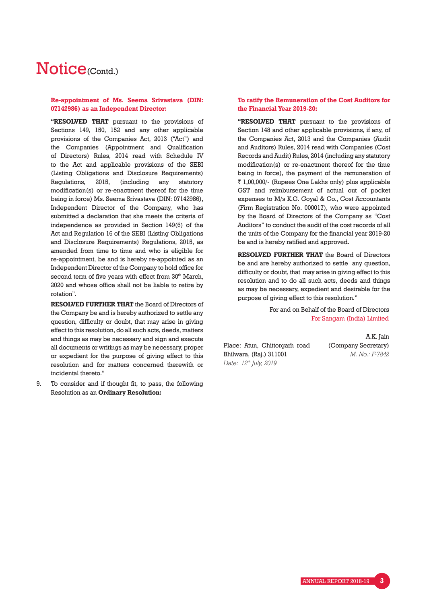### **Re-appointment of Ms. Seema Srivastava (DIN: 07142986) as an Independent Director:**

**"RESOLVED THAT** pursuant to the provisions of Sections 149, 150, 152 and any other applicable provisions of the Companies Act, 2013 ("Act") and the Companies (Appointment and Qualification of Directors) Rules, 2014 read with Schedule IV to the Act and applicable provisions of the SEBI (Listing Obligations and Disclosure Requirements) Regulations, 2015, (including any statutory modification(s) or re-enactment thereof for the time being in force) Ms. Seema Srivastava (DIN: 07142986), Independent Director of the Company, who has submitted a declaration that she meets the criteria of independence as provided in Section 149(6) of the Act and Regulation 16 of the SEBI (Listing Obligations and Disclosure Requirements) Regulations, 2015, as amended from time to time and who is eligible for re-appointment, be and is hereby re-appointed as an Independent Director of the Company to hold office for second term of five years with effect from 30<sup>th</sup> March, 2020 and whose office shall not be liable to retire by rotation".

**RESOLVED FURTHER THAT** the Board of Directors of the Company be and is hereby authorized to settle any question, difficulty or doubt, that may arise in giving effect to this resolution, do all such acts, deeds, matters and things as may be necessary and sign and execute all documents or writings as may be necessary, proper or expedient for the purpose of giving effect to this resolution and for matters concerned therewith or incidental thereto."

9. To consider and if thought fit, to pass, the following Resolution as an **Ordinary Resolution:**

### **To ratify the Remuneration of the Cost Auditors for the Financial Year 2019-20:**

**"RESOLVED THAT** pursuant to the provisions of Section 148 and other applicable provisions, if any, of the Companies Act, 2013 and the Companies (Audit and Auditors) Rules, 2014 read with Companies (Cost Records and Audit) Rules, 2014 (including any statutory modification(s) or re-enactment thereof for the time being in force), the payment of the remuneration of  $\bar{\tau}$  1,00,000/- (Rupees One Lakhs only) plus applicable GST and reimbursement of actual out of pocket expenses to M/s K.G. Goyal & Co., Cost Accountants (Firm Registration No. 000017), who were appointed by the Board of Directors of the Company as "Cost Auditors" to conduct the audit of the cost records of all the units of the Company for the financial year 2019-20 be and is hereby ratified and approved.

**RESOLVED FURTHER THAT** the Board of Directors be and are hereby authorized to settle any question, difficulty or doubt, that may arise in giving effect to this resolution and to do all such acts, deeds and things as may be necessary, expedient and desirable for the purpose of giving effect to this resolution."

> For and on Behalf of the Board of Directors For Sangam (India) Limited

Place: Atun, Chittorgarh road Bhilwara, (Raj.) 311001 *Date: 12th July, 2019*

A.K. Jain (Company Secretary) *M. No.: F-7842*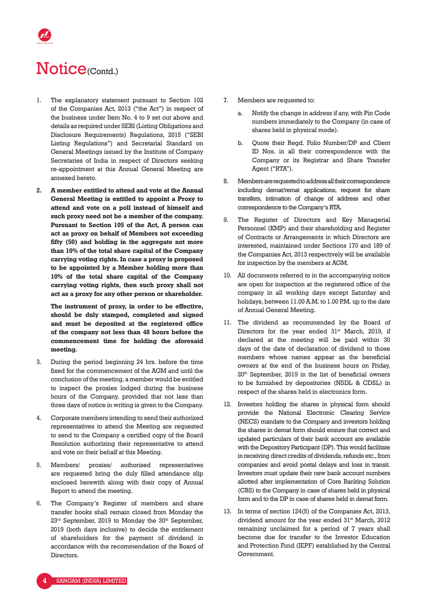- 1. The explanatory statement pursuant to Section 102 of the Companies Act, 2013 ("the Act") in respect of the business under Item No. 4 to 9 set out above and details as required under SEBI (Listing Obligations and Disclosure Requirements) Regulations, 2015 ("SEBI Listing Regulations") and Secretarial Standard on General Meetings issued by the Institute of Company Secretaries of India in respect of Directors seeking re-appointment at this Annual General Meeting are annexed hereto.
- **2. A member entitled to attend and vote at the Annual General Meeting is entitled to appoint a Proxy to attend and vote on a poll instead of himself and such proxy need not be a member of the company. Pursuant to Section 105 of the Act, A person can act as proxy on behalf of Members not exceeding fifty (50) and holding in the aggregate not more than 10% of the total share capital of the Company carrying voting rights. In case a proxy is proposed to be appointed by a Member holding more than 10% of the total share capital of the Company carrying voting rights, then such proxy shall not act as a proxy for any other person or shareholder.**

 **The instrument of proxy, in order to be effective, should be duly stamped, completed and signed and must be deposited at the registered office of the company not less than 48 hours before the commencement time for holding the aforesaid meeting.** 

- 3. During the period beginning 24 hrs. before the time fixed for the commencement of the AGM and until the conclusion of the meeting, a member would be entitled to inspect the proxies lodged during the business hours of the Company, provided that not less than three days of notice in writing is given to the Company.
- 4. Corporate members intending to send their authorized representatives to attend the Meeting are requested to send to the Company a certified copy of the Board Resolution authorizing their representative to attend and vote on their behalf at this Meeting.
- 5. Members/ proxies/ authorised representatives are requested bring the duly filled attendance slip enclosed herewith along with their copy of Annual Report to attend the meeting.
- 6. The Company's Register of members and share transfer books shall remain closed from Monday the  $23<sup>rd</sup>$  September, 2019 to Monday the  $30<sup>th</sup>$  September, 2019 (both days inclusive) to decide the entitlement of shareholders for the payment of dividend in accordance with the recommendation of the Board of **Directors**
- 7. Members are requested to:
	- a. Notify the change in address if any, with Pin Code numbers immediately to the Company (in case of shares held in physical mode).
	- b. Quote their Regd. Folio Number/DP and Client ID Nos. in all their correspondence with the Company or its Registrar and Share Transfer Agent ("RTA").
- 8. Members are requested to address all their correspondence including demat/remat applications, request for share transfers, intimation of change of address and other correspondence to the Company's RTA.
- 9. The Register of Directors and Key Managerial Personnel (KMP) and their shareholding and Register of Contracts or Arrangements in which Directors are interested, maintained under Sections 170 and 189 of the Companies Act, 2013 respectively will be available for inspection by the members at AGM.
- 10. All documents referred to in the accompanying notice are open for inspection at the registered office of the company in all working days except Saturday and holidays, between 11.00 A.M. to 1.00 P.M. up to the date of Annual General Meeting.
- 11. The dividend as recommended by the Board of Directors for the year ended  $31<sup>st</sup>$  March, 2019, if declared at the meeting will be paid within 30 days of the date of declaration of dividend to those members whose names appear as the beneficial owners at the end of the business hours on Friday, 20th September, 2019 in the list of beneficial owners to be furnished by depositories (NSDL & CDSL) in respect of the shares held in electronics form.
- 12. Investors holding the shares in physical form should provide the National Electronic Clearing Service (NECS) mandate to the Company and investors holding the shares in demat form should ensure that correct and updated particulars of their bank account are available with the Depository Participant (DP). This would facilitate in receiving direct credits of dividends, refunds etc., from companies and avoid postal delays and loss in transit. Investors must update their new bank account numbers allotted after implementation of Core Banking Solution (CBS) to the Company in case of shares held in physical form and to the DP in case of shares held in demat form.
- 13. In terms of section 124(5) of the Companies Act, 2013, dividend amount for the year ended 31<sup>st</sup> March, 2012 remaining unclaimed for a period of 7 years shall become due for transfer to the Investor Education and Protection Fund (IEPF) established by the Central Government.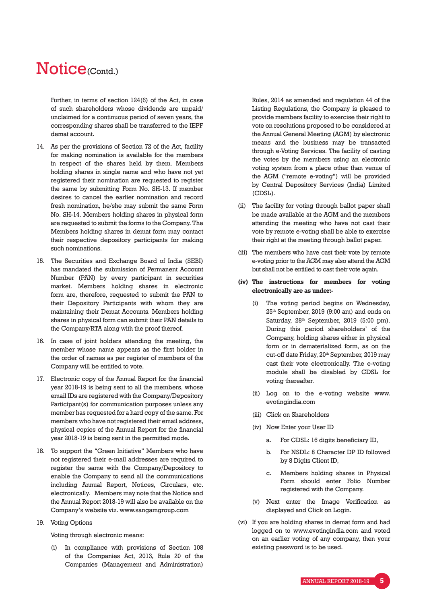# Notice<sub>(Contd.)</sub>

 Further, in terms of section 124(6) of the Act, in case of such shareholders whose dividends are unpaid/ unclaimed for a continuous period of seven years, the corresponding shares shall be transferred to the IEPF demat account.

- 14. As per the provisions of Section 72 of the Act, facility for making nomination is available for the members in respect of the shares held by them. Members holding shares in single name and who have not yet registered their nomination are requested to register the same by submitting Form No. SH-13. If member desires to cancel the earlier nomination and record fresh nomination, he/she may submit the same Form No. SH-14. Members holding shares in physical form are requested to submit the forms to the Company. The Members holding shares in demat form may contact their respective depository participants for making such nominations.
- 15. The Securities and Exchange Board of India (SEBI) has mandated the submission of Permanent Account Number (PAN) by every participant in securities market. Members holding shares in electronic form are, therefore, requested to submit the PAN to their Depository Participants with whom they are maintaining their Demat Accounts. Members holding shares in physical form can submit their PAN details to the Company/RTA along with the proof thereof.
- 16. In case of joint holders attending the meeting, the member whose name appears as the first holder in the order of names as per register of members of the Company will be entitled to vote.
- 17. Electronic copy of the Annual Report for the financial year 2018-19 is being sent to all the members, whose email IDs are registered with the Company/Depository Participant(s) for communication purposes unless any member has requested for a hard copy of the same. For members who have not registered their email address, physical copies of the Annual Report for the financial year 2018-19 is being sent in the permitted mode.
- 18. To support the "Green Initiative" Members who have not registered their e-mail addresses are required to register the same with the Company/Depository to enable the Company to send all the communications including Annual Report, Notices, Circulars, etc. electronically. Members may note that the Notice and the Annual Report 2018-19 will also be available on the Company's website viz. www.sangamgroup.com
- 19. Voting Options

Voting through electronic means:

 (i) In compliance with provisions of Section 108 of the Companies Act, 2013, Rule 20 of the Companies (Management and Administration) Rules, 2014 as amended and regulation 44 of the Listing Regulations, the Company is pleased to provide members facility to exercise their right to vote on resolutions proposed to be considered at the Annual General Meeting (AGM) by electronic means and the business may be transacted through e-Voting Services. The facility of casting the votes by the members using an electronic voting system from a place other than venue of the AGM ("remote e-voting") will be provided by Central Depository Services (India) Limited (CDSL).

- (ii) The facility for voting through ballot paper shall be made available at the AGM and the members attending the meeting who have not cast their vote by remote e-voting shall be able to exercise their right at the meeting through ballot paper.
- (iii) The members who have cast their vote by remote e-voting prior to the AGM may also attend the AGM but shall not be entitled to cast their vote again.
- **(iv) The instructions for members for voting electronically are as under:-**
	- (i) The voting period begins on Wednesday, 25th September, 2019 (9:00 am) and ends on Saturday, 28th September, 2019 (5:00 pm). During this period shareholders' of the Company, holding shares either in physical form or in dematerialized form, as on the cut-off date Friday, 20<sup>th</sup> September, 2019 may cast their vote electronically. The e-voting module shall be disabled by CDSL for voting thereafter.
	- (ii) Log on to the e-voting website www. evotingindia.com
	- (iii) Click on Shareholders
	- (iv) Now Enter your User ID
		- a. For CDSL: 16 digits beneficiary ID,
		- b. For NSDL: 8 Character DP ID followed by 8 Digits Client ID,
		- c. Members holding shares in Physical Form should enter Folio Number registered with the Company.
	- (v) Next enter the Image Verification as displayed and Click on Login.
- (vi) If you are holding shares in demat form and had logged on to www.evotingindia.com and voted on an earlier voting of any company, then your existing password is to be used.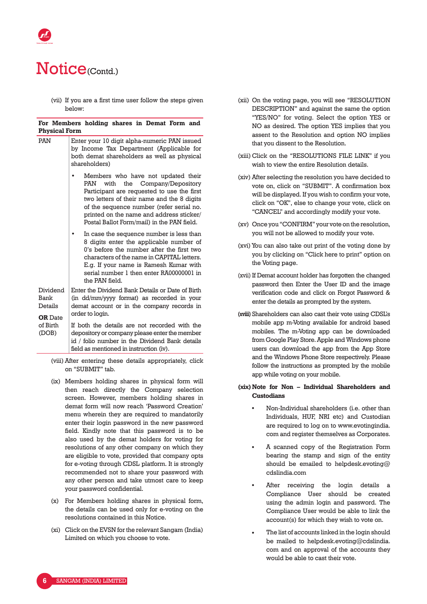(vii) If you are a first time user follow the steps given below:

| <b>Physical Form</b>                                     | For Members holding shares in Demat Form and                                                                                                                                                                                                                                                                  |  |  |  |  |
|----------------------------------------------------------|---------------------------------------------------------------------------------------------------------------------------------------------------------------------------------------------------------------------------------------------------------------------------------------------------------------|--|--|--|--|
| <b>PAN</b>                                               | Enter your 10 digit alpha-numeric PAN issued<br>by Income Tax Department (Applicable for<br>both demat shareholders as well as physical<br>shareholders)                                                                                                                                                      |  |  |  |  |
|                                                          | Members who have not updated their<br>the Company/Depository<br>PAN<br>with<br>Participant are requested to use the first<br>two letters of their name and the 8 digits<br>of the sequence number (refer serial no.<br>printed on the name and address sticker/<br>Postal Ballot Form/mail) in the PAN field. |  |  |  |  |
|                                                          | In case the sequence number is less than<br>8 digits enter the applicable number of<br>0's before the number after the first two<br>characters of the name in CAPITAL letters.<br>E.a. If vour name is Ramesh Kumar with<br>serial number 1 then enter RA00000001 in<br>the PAN field                         |  |  |  |  |
| Dividend<br><b>Bank</b><br>Details<br><b>OR</b> Date     | Enter the Dividend Bank Details or Date of Birth<br>(in dd/mm/yyyy format) as recorded in your<br>demat account or in the company records in<br>order to login.                                                                                                                                               |  |  |  |  |
| of Birth<br>(DOB)                                        | If both the details are not recorded with the<br>depository or company please enter the member<br>id / folio number in the Dividend Bank details<br>field as mentioned in instruction (iv).                                                                                                                   |  |  |  |  |
| (viii) After entering these details appropriately, click |                                                                                                                                                                                                                                                                                                               |  |  |  |  |

- (ix) Members holding shares in physical form will then reach directly the Company selection screen. However, members holding shares in demat form will now reach 'Password Creation' menu wherein they are required to mandatorily enter their login password in the new password field. Kindly note that this password is to be also used by the demat holders for voting for resolutions of any other company on which they are eligible to vote, provided that company opts for e-voting through CDSL platform. It is strongly recommended not to share your password with any other person and take utmost care to keep your password confidential.
- (x) For Members holding shares in physical form, the details can be used only for e-voting on the resolutions contained in this Notice.
- (xi) Click on the EVSN for the relevant Sangam (India) Limited on which you choose to vote.
- (xii) On the voting page, you will see "RESOLUTION DESCRIPTION" and against the same the option "YES/NO" for voting. Select the option YES or NO as desired. The option YES implies that you assent to the Resolution and option NO implies that you dissent to the Resolution.
- (xiii) Click on the "RESOLUTIONS FILE LINK" if you wish to view the entire Resolution details.
- (xiv) After selecting the resolution you have decided to vote on, click on "SUBMIT". A confirmation box will be displayed. If you wish to confirm your vote, click on "OK", else to change your vote, click on "CANCEL" and accordingly modify your vote.
- (xv) Once you "CONFIRM" your vote on the resolution, you will not be allowed to modify your vote.
- (xvi) You can also take out print of the voting done by you by clicking on "Click here to print" option on the Voting page.
- (xvii) If Demat account holder has forgotten the changed password then Enter the User ID and the image verification code and click on Forgot Password & enter the details as prompted by the system.
- **(xviii)** Shareholders can also cast their vote using CDSL's mobile app m-Voting available for android based mobiles. The m-Voting app can be downloaded from Google Play Store. Apple and Windows phone users can download the app from the App Store and the Windows Phone Store respectively. Please follow the instructions as prompted by the mobile app while voting on your mobile.

### **(xix) Note for Non – Individual Shareholders and Custodians**

- Non-Individual shareholders (i.e. other than Individuals, HUF, NRI etc) and Custodian are required to log on to www.evotingindia. com and register themselves as Corporates.
- A scanned copy of the Registration Form bearing the stamp and sign of the entity should be emailed to helpdesk.evoting@ cdslindia.com
- After receiving the login details a Compliance User should be created using the admin login and password. The Compliance User would be able to link the account(s) for which they wish to vote on.
- The list of accounts linked in the login should be mailed to helpdesk.evoting@cdslindia. com and on approval of the accounts they would be able to cast their vote.

on "SUBMIT" tab.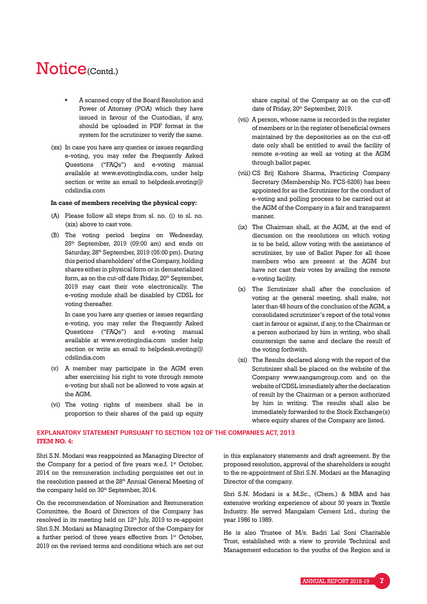- A scanned copy of the Board Resolution and Power of Attorney (POA) which they have issued in favour of the Custodian, if any, should be uploaded in PDF format in the system for the scrutinizer to verify the same.
- (xx) In case you have any queries or issues regarding e-voting, you may refer the Frequently Asked Questions ("FAQs") and e-voting manual available at www.evotingindia.com, under help section or write an email to helpdesk.evoting@ cdslindia.com

#### **In case of members receiving the physical copy:**

- (A) Please follow all steps from sl. no. (i) to sl. no. (xix) above to cast vote.
- (B) The voting period begins on Wednesday, 25th September, 2019 (09:00 am) and ends on Saturday, 28th September, 2019 (05:00 pm). During this period shareholders' of the Company, holding shares either in physical form or in dematerialized form, as on the cut-off date Friday,  $20<sup>th</sup>$  September, 2019 may cast their vote electronically. The e-voting module shall be disabled by CDSL for voting thereafter.

 In case you have any queries or issues regarding e-voting, you may refer the Frequently Asked Questions ("FAQs") and e-voting manual available at www.evotingindia.com under help section or write an email to helpdesk.evoting@ cdslindia.com

- (v) A member may participate in the AGM even after exercising his right to vote through remote e-voting but shall not be allowed to vote again at the AGM.
- (vi) The voting rights of members shall be in proportion to their shares of the paid up equity

share capital of the Company as on the cut-off date of Friday, 20<sup>th</sup> September, 2019.

- (vii) A person, whose name is recorded in the register of members or in the register of beneficial owners maintained by the depositories as on the cut-off date only shall be entitled to avail the facility of remote e-voting as well as voting at the AGM through ballot paper.
- (viii) CS Brij Kishore Sharma, Practicing Company Secretary (Membership No. FCS-6206) has been appointed for as the Scrutinizer for the conduct of e-voting and polling process to be carried out at the AGM of the Company in a fair and transparent manner.
- (ix) The Chairman shall, at the AGM, at the end of discussion on the resolutions on which voting is to be held, allow voting with the assistance of scrutinizer, by use of Ballot Paper for all those members who are present at the AGM but have not cast their votes by availing the remote e-voting facility.
- (x) The Scrutinizer shall after the conclusion of voting at the general meeting, shall make, not later than 48 hours of the conclusion of the AGM, a consolidated scrutinizer's report of the total votes cast in favour or against, if any, to the Chairman or a person authorized by him in writing, who shall countersign the same and declare the result of the voting forthwith.
- (xi) The Results declared along with the report of the Scrutinizer shall be placed on the website of the Company www.sangamgroup.com and on the website of CDSL immediately after the declaration of result by the Chairman or a person authorized by him in writing. The results shall also be immediately forwarded to the Stock Exchange(s) where equity shares of the Company are listed.

### **EXPLANATORY STATEMENT PURSUANT TO SECTION 102 OF THE COMPANIES ACT, 2013 ITEM NO. 4:**

Shri S.N. Modani was reappointed as Managing Director of the Company for a period of five years w.e.f. 1<sup>st</sup> October, 2014 on the remuneration including perquisites set out in the resolution passed at the 28<sup>th</sup> Annual General Meeting of the company held on 30<sup>th</sup> September, 2014.

On the recommendation of Nomination and Remuneration Committee, the Board of Directors of the Company has resolved in its meeting held on 12<sup>th</sup> July, 2019 to re-appoint Shri S.N. Modani as Managing Director of the Company for a further period of three years effective from 1<sup>st</sup> October, 2019 on the revised terms and conditions which are set out in this explanatory statements and draft agreement. By the proposed resolution, approval of the shareholders is sought to the re-appointment of Shri S.N. Modani as the Managing Director of the company.

Shri S.N. Modani is a M.Sc., (Chem.) & MBA and has extensive working experience of about 30 years in Textile Industry. He served Mangalam Cement Ltd., during the year 1986 to 1989.

He is also Trustee of M/s. Badri Lal Soni Charitable Trust, established with a view to provide Technical and Management education to the youths of the Region and is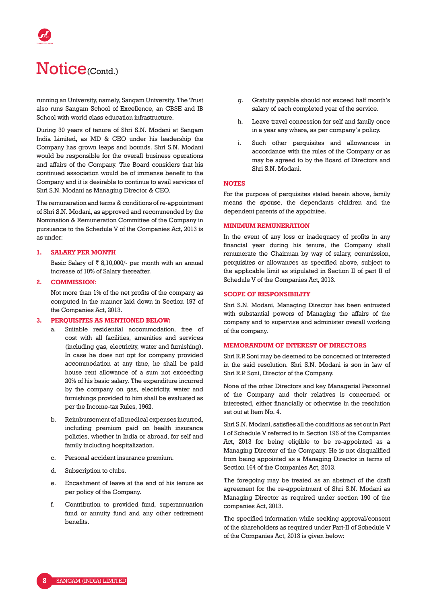# Notice<sub>(Contd.)</sub>

running an University, namely, Sangam University. The Trust also runs Sangam School of Excellence, an CBSE and IB School with world class education infrastructure.

During 30 years of tenure of Shri S.N. Modani at Sangam India Limited, as MD & CEO under his leadership the Company has grown leaps and bounds. Shri S.N. Modani would be responsible for the overall business operations and affairs of the Company. The Board considers that his continued association would be of immense benefit to the Company and it is desirable to continue to avail services of Shri S.N. Modani as Managing Director & CEO.

The remuneration and terms & conditions of re-appointment of Shri S.N. Modani, as approved and recommended by the Nomination & Remuneration Committee of the Company in pursuance to the Schedule V of the Companies Act, 2013 is as under:

#### **1. SALARY PER MONTH**

Basic Salary of  $\bar{z}$  8,10,000/- per month with an annual increase of 10% of Salary thereafter.

#### **2. COMMISSION:**

 Not more than 1% of the net profits of the company as computed in the manner laid down in Section 197 of the Companies Act, 2013.

#### **3. PERQUISITES AS MENTIONED BELOW:**

- a. Suitable residential accommodation, free of cost with all facilities, amenities and services (including gas, electricity, water and furnishing). In case he does not opt for company provided accommodation at any time, he shall be paid house rent allowance of a sum not exceeding 20% of his basic salary. The expenditure incurred by the company on gas, electricity, water and furnishings provided to him shall be evaluated as per the Income-tax Rules, 1962.
- b. Reimbursement of all medical expenses incurred, including premium paid on health insurance policies, whether in India or abroad, for self and family including hospitalization.
- c. Personal accident insurance premium.
- d. Subscription to clubs.
- e. Encashment of leave at the end of his tenure as per policy of the Company.
- f. Contribution to provided fund, superannuation fund or annuity fund and any other retirement benefits.
- g. Gratuity payable should not exceed half month's salary of each completed year of the service.
- h. Leave travel concession for self and family once in a year any where, as per company's policy.
- i. Such other perquisites and allowances in accordance with the rules of the Company or as may be agreed to by the Board of Directors and Shri S.N. Modani.

#### **NOTES**

For the purpose of perquisites stated herein above, family means the spouse, the dependants children and the dependent parents of the appointee.

#### **MINIMUM REMUNERATION**

In the event of any loss or inadequacy of profits in any financial year during his tenure, the Company shall remunerate the Chairman by way of salary, commission, perquisites or allowances as specified above, subject to the applicable limit as stipulated in Section II of part II of Schedule V of the Companies Act, 2013.

#### **SCOPE OF RESPONSIBILITY**

Shri S.N. Modani, Managing Director has been entrusted with substantial powers of Managing the affairs of the company and to supervise and administer overall working of the company.

#### **MEMORANDUM OF INTEREST OF DIRECTORS**

Shri R.P. Soni may be deemed to be concerned or interested in the said resolution. Shri S.N. Modani is son in law of Shri R.P. Soni, Director of the Company.

None of the other Directors and key Managerial Personnel of the Company and their relatives is concerned or interested, either financially or otherwise in the resolution set out at Item No. 4.

Shri S.N. Modani, satisfies all the conditions as set out in Part I of Schedule V referred to in Section 196 of the Companies Act, 2013 for being eligible to be re-appointed as a Managing Director of the Company. He is not disqualified from being appointed as a Managing Director in terms of Section 164 of the Companies Act, 2013.

The foregoing may be treated as an abstract of the draft agreement for the re-appointment of Shri S.N. Modani as Managing Director as required under section 190 of the companies Act, 2013.

The specified information while seeking approval/consent of the shareholders as required under Part-II of Schedule V of the Companies Act, 2013 is given below: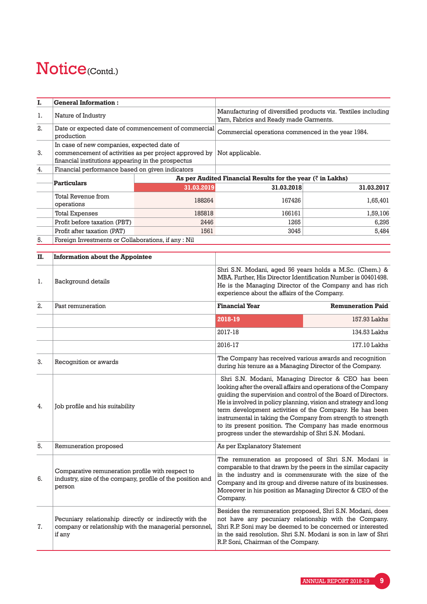| I. | <b>General Information:</b>                                                                                                                               |                                                     |                                                                                                         |            |
|----|-----------------------------------------------------------------------------------------------------------------------------------------------------------|-----------------------------------------------------|---------------------------------------------------------------------------------------------------------|------------|
| 1. | Nature of Industry                                                                                                                                        |                                                     | Manufacturing of diversified products viz. Textiles including<br>Yarn, Fabrics and Ready made Garments. |            |
| 2. | production                                                                                                                                                | Date or expected date of commencement of commercial | Commercial operations commenced in the year 1984.                                                       |            |
| 3. | In case of new companies, expected date of<br>commencement of activities as per project approved by<br>financial institutions appearing in the prospectus |                                                     | Not applicable.                                                                                         |            |
| 4. | Financial performance based on given indicators                                                                                                           |                                                     |                                                                                                         |            |
|    | <b>Particulars</b>                                                                                                                                        |                                                     | As per Audited Financial Results for the year $(\bar{\zeta})$ in Lakhs)                                 |            |
|    |                                                                                                                                                           | 31.03.2019                                          | 31.03.2018                                                                                              | 31.03.2017 |
|    | Total Revenue from<br>operations                                                                                                                          | 188264                                              | 167426                                                                                                  | 1,65,401   |
|    | <b>Total Expenses</b>                                                                                                                                     | 185818                                              | 166161                                                                                                  | 1,59,106   |
|    | Profit before taxation (PBT)                                                                                                                              | 2446                                                | 1265                                                                                                    | 6.295      |
|    | Profit after taxation (PAT)                                                                                                                               | 1561                                                | 3045                                                                                                    | 5,484      |
| 5. | Foreign Investments or Collaborations, if any : Nil                                                                                                       |                                                     |                                                                                                         |            |

| П. | <b>Information about the Appointee</b>                                                                                     |                                                          |                                                                                                                                                                                                                                                                                                                                                                                                                                                 |  |
|----|----------------------------------------------------------------------------------------------------------------------------|----------------------------------------------------------|-------------------------------------------------------------------------------------------------------------------------------------------------------------------------------------------------------------------------------------------------------------------------------------------------------------------------------------------------------------------------------------------------------------------------------------------------|--|
| 1. | Background details                                                                                                         |                                                          | Shri S.N. Modani, aged 56 years holds a M.Sc. (Chem.) &<br>MBA. Further, His Director Identification Number is 00401498.<br>He is the Managing Director of the Company and has rich<br>experience about the affairs of the Company.                                                                                                                                                                                                             |  |
| 2. | Past remuneration                                                                                                          | <b>Financial Year</b>                                    | <b>Remuneration Paid</b>                                                                                                                                                                                                                                                                                                                                                                                                                        |  |
|    |                                                                                                                            | 2018-19                                                  | 157.93 Lakhs                                                                                                                                                                                                                                                                                                                                                                                                                                    |  |
|    |                                                                                                                            | 2017-18                                                  | 134.53 Lakhs                                                                                                                                                                                                                                                                                                                                                                                                                                    |  |
|    |                                                                                                                            | 2016-17                                                  | 177.10 Lakhs                                                                                                                                                                                                                                                                                                                                                                                                                                    |  |
| 3. | Recognition or awards                                                                                                      | during his tenure as a Managing Director of the Company. | The Company has received various awards and recognition                                                                                                                                                                                                                                                                                                                                                                                         |  |
| 4. | Job profile and his suitability                                                                                            | progress under the stewardship of Shri S.N. Modani.      | Shri S.N. Modani, Managing Director & CEO has been<br>looking after the overall affairs and operations of the Company<br>guiding the supervision and control of the Board of Directors.<br>He is involved in policy planning, vision and strategy and long<br>term development activities of the Company. He has been<br>instrumental in taking the Company from strength to strength<br>to its present position. The Company has made enormous |  |
| 5. | Remuneration proposed                                                                                                      | As per Explanatory Statement                             |                                                                                                                                                                                                                                                                                                                                                                                                                                                 |  |
| 6. | Comparative remuneration profile with respect to<br>industry, size of the company, profile of the position and<br>person   | Company.                                                 | The remuneration as proposed of Shri S.N. Modani is<br>comparable to that drawn by the peers in the similar capacity<br>in the industry and is commensurate with the size of the<br>Company and its group and diverse nature of its businesses.<br>Moreover in his position as Managing Director & CEO of the                                                                                                                                   |  |
| 7. | Pecuniary relationship directly or indirectly with the<br>company or relationship with the managerial personnel,<br>if any | R.P. Soni, Chairman of the Company.                      | Besides the remuneration proposed, Shri S.N. Modani, does<br>not have any pecuniary relationship with the Company.<br>Shri R.P. Soni may be deemed to be concerned or interested<br>in the said resolution. Shri S.N. Modani is son in law of Shri                                                                                                                                                                                              |  |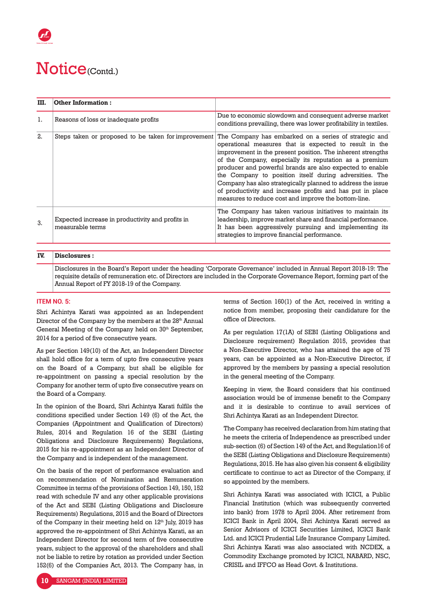| III. | <b>Other Information:</b>                                            |                                                                                                                                                                                                                                                                                                                                                                                                                                                                                                                                                    |
|------|----------------------------------------------------------------------|----------------------------------------------------------------------------------------------------------------------------------------------------------------------------------------------------------------------------------------------------------------------------------------------------------------------------------------------------------------------------------------------------------------------------------------------------------------------------------------------------------------------------------------------------|
| 1.   | Reasons of loss or inadequate profits                                | Due to economic slowdown and consequent adverse market<br>conditions prevailing, there was lower profitability in textiles.                                                                                                                                                                                                                                                                                                                                                                                                                        |
| 2.   | Steps taken or proposed to be taken for improvement                  | The Company has embarked on a series of strategic and<br>operational measures that is expected to result in the<br>improvement in the present position. The inherent strengths<br>of the Company, especially its reputation as a premium<br>producer and powerful brands are also expected to enable<br>the Company to position itself during adversities. The<br>Company has also strategically planned to address the issue<br>of productivity and increase profits and has put in place<br>measures to reduce cost and improve the bottom-line. |
| 3.   | Expected increase in productivity and profits in<br>measurable terms | The Company has taken various initiatives to maintain its<br>leadership, improve market share and financial performance.<br>It has been aggressively pursuing and implementing its<br>strategies to improve financial performance.                                                                                                                                                                                                                                                                                                                 |

### **IV. Disclosures :**

Disclosures in the Board's Report under the heading 'Corporate Governance' included in Annual Report 2018-19: The requisite details of remuneration etc. of Directors are included in the Corporate Governance Report, forming part of the Annual Report of FY 2018-19 of the Company.

#### **ITEM NO. 5:**

Shri Achintya Karati was appointed as an Independent Director of the Company by the members at the 28<sup>th</sup> Annual General Meeting of the Company held on 30<sup>th</sup> September, 2014 for a period of five consecutive years.

As per Section 149(10) of the Act, an Independent Director shall hold office for a term of upto five consecutive years on the Board of a Company, but shall be eligible for re-appointment on passing a special resolution by the Company for another term of upto five consecutive years on the Board of a Company.

In the opinion of the Board, Shri Achintya Karati fulfils the conditions specified under Section 149 (6) of the Act, the Companies (Appointment and Qualification of Directors) Rules, 2014 and Regulation 16 of the SEBI (Listing Obligations and Disclosure Requirements) Regulations, 2015 for his re-appointment as an Independent Director of the Company and is independent of the management.

On the basis of the report of performance evaluation and on recommendation of Nomination and Remuneration Committee in terms of the provisions of Section 149, 150, 152 read with schedule IV and any other applicable provisions of the Act and SEBI (Listing Obligations and Disclosure Requirements) Regulations, 2015 and the Board of Directors of the Company in their meeting held on  $12<sup>th</sup>$  July, 2019 has approved the re-appointment of Shri Achintya Karati, as an Independent Director for second term of five consecutive years, subject to the approval of the shareholders and shall not be liable to retire by rotation as provided under Section 152(6) of the Companies Act, 2013. The Company has, in

terms of Section 160(1) of the Act, received in writing a notice from member, proposing their candidature for the office of Directors.

As per regulation 17(1A) of SEBI (Listing Obligations and Disclosure requirement) Regulation 2015, provides that a Non-Executive Director, who has attained the age of 75 years, can be appointed as a Non-Executive Director, if approved by the members by passing a special resolution in the general meeting of the Company.

Keeping in view, the Board considers that his continued association would be of immense benefit to the Company and it is desirable to continue to avail services of Shri Achintya Karati as an Independent Director.

The Company has received declaration from him stating that he meets the criteria of Independence as prescribed under sub-section (6) of Section 149 of the Act, and Regulation16 of the SEBI (Listing Obligations and Disclosure Requirements) Regulations, 2015. He has also given his consent & eligibility certificate to continue to act as Director of the Company, if so appointed by the members.

Shri Achintya Karati was associated with ICICI, a Public Financial Institution (which was subsequently converted into bank) from 1978 to April 2004. After retirement from ICICI Bank in April 2004, Shri Achintya Karati served as Senior Advisors of ICICI Securities Limited, ICICI Bank Ltd. and ICICI Prudential Life Insurance Company Limited. Shri Achintya Karati was also associated with NCDEX, a Commodity Exchange promoted by ICICI, NABARD, NSC, CRISIL and IFFCO as Head Govt. & Institutions.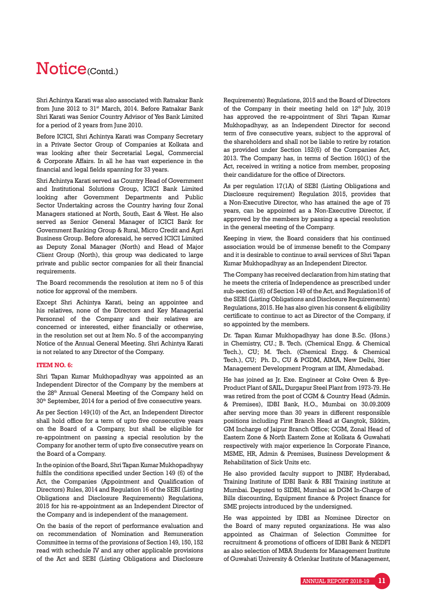Shri Achintya Karati was also associated with Ratnakar Bank from June 2012 to 31<sup>st</sup> March, 2014. Before Ratnakar Bank Shri Karati was Senior Country Advisor of Yes Bank Limited for a period of 2 years from June 2010.

Before ICICI, Shri Achintya Karati was Company Secretary in a Private Sector Group of Companies at Kolkata and was looking after their Secretarial Legal, Commercial & Corporate Affairs. In all he has vast experience in the financial and legal fields spanning for 33 years.

Shri Achintya Karati served as Country Head of Government and Institutional Solutions Group, ICICI Bank Limited looking after Government Departments and Public Sector Undertaking across the Country having four Zonal Managers stationed at North, South, East & West. He also served as Senior General Manager of ICICI Bank for Government Banking Group & Rural, Micro Credit and Agri Business Group. Before aforesaid, he served ICICI Limited as Deputy Zonal Manager (North) and Head of Major Client Group (North), this group was dedicated to large private and public sector companies for all their financial requirements.

The Board recommends the resolution at item no 5 of this notice for approval of the members.

Except Shri Achintya Karati, being an appointee and his relatives, none of the Directors and Key Managerial Personnel of the Company and their relatives are concerned or interested, either financially or otherwise, in the resolution set out at Item No. 5 of the accompanying Notice of the Annual General Meeting. Shri Achintya Karati is not related to any Director of the Company.

#### **ITEM NO. 6:**

Shri Tapan Kumar Mukhopadhyay was appointed as an Independent Director of the Company by the members at the 28<sup>th</sup> Annual General Meeting of the Company held on 30th September, 2014 for a period of five consecutive years.

As per Section 149(10) of the Act, an Independent Director shall hold office for a term of upto five consecutive years on the Board of a Company, but shall be eligible for re-appointment on passing a special resolution by the Company for another term of upto five consecutive years on the Board of a Company.

In the opinion of the Board, Shri Tapan Kumar Mukhopadhyay fulfils the conditions specified under Section 149 (6) of the Act, the Companies (Appointment and Qualification of Directors) Rules, 2014 and Regulation 16 of the SEBI (Listing Obligations and Disclosure Requirements) Regulations, 2015 for his re-appointment as an Independent Director of the Company and is independent of the management.

On the basis of the report of performance evaluation and on recommendation of Nomination and Remuneration Committee in terms of the provisions of Section 149, 150, 152 read with schedule IV and any other applicable provisions of the Act and SEBI (Listing Obligations and Disclosure

Requirements) Regulations, 2015 and the Board of Directors of the Company in their meeting held on  $12<sup>th</sup>$  July, 2019 has approved the re-appointment of Shri Tapan Kumar Mukhopadhyay, as an Independent Director for second term of five consecutive years, subject to the approval of the shareholders and shall not be liable to retire by rotation as provided under Section 152(6) of the Companies Act, 2013. The Company has, in terms of Section 160(1) of the Act, received in writing a notice from member, proposing their candidature for the office of Directors.

As per regulation 17(1A) of SEBI (Listing Obligations and Disclosure requirement) Regulation 2015, provides that a Non-Executive Director, who has attained the age of 75 years, can be appointed as a Non-Executive Director, if approved by the members by passing a special resolution in the general meeting of the Company.

Keeping in view, the Board considers that his continued association would be of immense benefit to the Company and it is desirable to continue to avail services of Shri Tapan Kumar Mukhopadhyay as an Independent Director.

The Company has received declaration from him stating that he meets the criteria of Independence as prescribed under sub-section (6) of Section 149 of the Act, and Regulation16 of the SEBI (Listing Obligations and Disclosure Requirements) Regulations, 2015. He has also given his consent & eligibility certificate to continue to act as Director of the Company, if so appointed by the members.

Dr. Tapan Kumar Mukhopadhyay has done B.Sc. (Hons.) in Chemistry, CU.; B. Tech. (Chemical Engg. & Chemical Tech.), CU; M. Tech. (Chemical Engg. & Chemical Tech.), CU; Ph. D., CU & PGDM, AIMA, New Delhi, 3tier Management Development Program at IIM, Ahmedabad.

He has joined as Jr. Exe. Engineer at Coke Oven & Bye-Product Plant of SAIL, Durgapur Steel Plant from 1973-79. He was retired from the post of CGM & Country Head (Admin. & Premises), IDBI Bank, H.O., Mumbai on 30.09.2009 after serving more than 30 years in different responsible positions including First Branch Head at Gangtok, Sikkim, GM Incharge of Jaipur Branch Office; CGM, Zonal Head of Eastern Zone & North Eastern Zone at Kolkata & Guwahati respectively with major experience In Corporate Finance, MSME, HR, Admin & Premises, Business Development & Rehabilitation of Sick Units etc.

He also provided faculty support to JNIBF, Hyderabad, Training Institute of IDBI Bank & RBI Training institute at Mumbai. Deputed to SIDBI, Mumbai as DGM In-Charge of Bills discounting, Equipment finance & Project finance for SME projects introduced by the undersigned.

He was appointed by IDBI as Nominee Director on the Board of many reputed organizations. He was also appointed as Chairman of Selection Committee for recruitment & promotions of officers of IDBI Bank & NEDFI as also selection of MBA Students for Management Institute of Guwahati University & Orlenkar Institute of Management,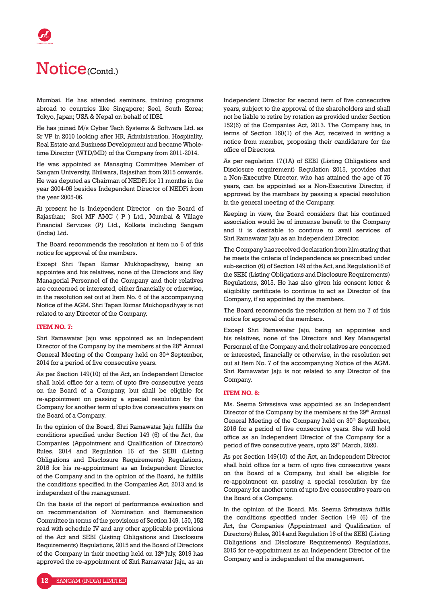# Notice<sub>(Contd.)</sub>

Mumbai. He has attended seminars, training programs abroad to countries like Singapore; Seol, South Korea; Tokyo, Japan; USA & Nepal on behalf of IDBI.

He has joined M/s Cyber Tech Systems & Software Ltd. as Sr VP in 2010 looking after HR, Administration, Hospitality, Real Estate and Business Development and became Wholetime Director (WTD/MD) of the Company from 2011-2014.

He was appointed as Managing Committee Member of Sangam University, Bhilwara, Rajasthan from 2015 onwards. He was deputed as Chairman of NEDFi for 11 months in the year 2004-05 besides Independent Director of NEDFi from the year 2005-06.

At present he is Independent Director on the Board of Rajasthan; Srei MF AMC ( P ) Ltd., Mumbai & Village Financial Services (P) Ltd., Kolkata including Sangam (India) Ltd.

The Board recommends the resolution at item no 6 of this notice for approval of the members.

Except Shri Tapan Kumar Mukhopadhyay, being an appointee and his relatives, none of the Directors and Key Managerial Personnel of the Company and their relatives are concerned or interested, either financially or otherwise, in the resolution set out at Item No. 6 of the accompanying Notice of the AGM. Shri Tapan Kumar Mukhopadhyay is not related to any Director of the Company.

### **ITEM NO. 7:**

Shri Ramawatar Jaju was appointed as an Independent Director of the Company by the members at the 28<sup>th</sup> Annual General Meeting of the Company held on 30<sup>th</sup> September, 2014 for a period of five consecutive years.

As per Section 149(10) of the Act, an Independent Director shall hold office for a term of upto five consecutive years on the Board of a Company, but shall be eligible for re-appointment on passing a special resolution by the Company for another term of upto five consecutive years on the Board of a Company.

In the opinion of the Board, Shri Ramawatar Jaju fulfills the conditions specified under Section 149 (6) of the Act, the Companies (Appointment and Qualification of Directors) Rules, 2014 and Regulation 16 of the SEBI (Listing Obligations and Disclosure Requirements) Regulations, 2015 for his re-appointment as an Independent Director of the Company and in the opinion of the Board, he fulfills the conditions specified in the Companies Act, 2013 and is independent of the management.

On the basis of the report of performance evaluation and on recommendation of Nomination and Remuneration Committee in terms of the provisions of Section 149, 150, 152 read with schedule IV and any other applicable provisions of the Act and SEBI (Listing Obligations and Disclosure Requirements) Regulations, 2015 and the Board of Directors of the Company in their meeting held on 12<sup>th</sup> July, 2019 has approved the re-appointment of Shri Ramawatar Jaju, as an Independent Director for second term of five consecutive years, subject to the approval of the shareholders and shall not be liable to retire by rotation as provided under Section 152(6) of the Companies Act, 2013. The Company has, in terms of Section 160(1) of the Act, received in writing a notice from member, proposing their candidature for the office of Directors.

As per regulation 17(1A) of SEBI (Listing Obligations and Disclosure requirement) Regulation 2015, provides that a Non-Executive Director, who has attained the age of 75 years, can be appointed as a Non-Executive Director, if approved by the members by passing a special resolution in the general meeting of the Company.

Keeping in view, the Board considers that his continued association would be of immense benefit to the Company and it is desirable to continue to avail services of Shri Ramawatar Jaju as an Independent Director.

The Company has received declaration from him stating that he meets the criteria of Independence as prescribed under sub-section (6) of Section 149 of the Act, and Regulation16 of the SEBI (Listing Obligations and Disclosure Requirements) Regulations, 2015. He has also given his consent letter & eligibility certificate to continue to act as Director of the Company, if so appointed by the members.

The Board recommends the resolution at item no 7 of this notice for approval of the members.

Except Shri Ramawatar Jaju, being an appointee and his relatives, none of the Directors and Key Managerial Personnel of the Company and their relatives are concerned or interested, financially or otherwise, in the resolution set out at Item No. 7 of the accompanying Notice of the AGM. Shri Ramawatar Jaju is not related to any Director of the Company.

#### **ITEM NO. 8:**

Ms. Seema Srivastava was appointed as an Independent Director of the Company by the members at the 29<sup>th</sup> Annual General Meeting of the Company held on 30<sup>th</sup> September, 2015 for a period of five consecutive years. She will hold office as an Independent Director of the Company for a period of five consecutive years, upto 29<sup>th</sup> March, 2020.

As per Section 149(10) of the Act, an Independent Director shall hold office for a term of upto five consecutive years on the Board of a Company, but shall be eligible for re-appointment on passing a special resolution by the Company for another term of upto five consecutive years on the Board of a Company.

In the opinion of the Board, Ms. Seema Srivastava fulfils the conditions specified under Section 149 (6) of the Act, the Companies (Appointment and Qualification of Directors) Rules, 2014 and Regulation 16 of the SEBI (Listing Obligations and Disclosure Requirements) Regulations, 2015 for re-appointment as an Independent Director of the Company and is independent of the management.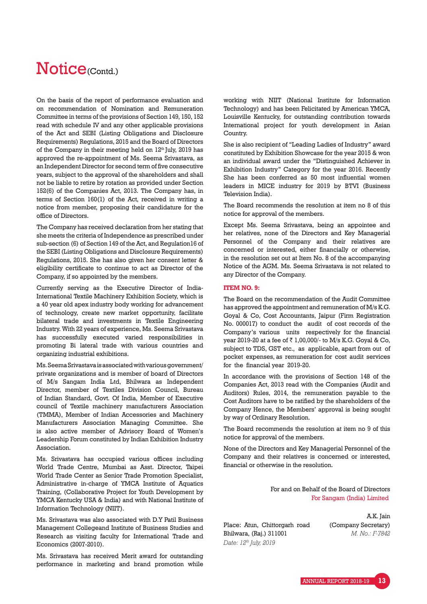On the basis of the report of performance evaluation and on recommendation of Nomination and Remuneration Committee in terms of the provisions of Section 149, 150, 152 read with schedule IV and any other applicable provisions of the Act and SEBI (Listing Obligations and Disclosure Requirements) Regulations, 2015 and the Board of Directors of the Company in their meeting held on  $12<sup>th</sup>$  July, 2019 has approved the re-appointment of Ms. Seema Srivastava, as an Independent Director for second term of five consecutive years, subject to the approval of the shareholders and shall not be liable to retire by rotation as provided under Section 152(6) of the Companies Act, 2013. The Company has, in terms of Section 160(1) of the Act, received in writing a notice from member, proposing their candidature for the office of Directors.

The Company has received declaration from her stating that she meets the criteria of Independence as prescribed under sub-section (6) of Section 149 of the Act, and Regulation16 of the SEBI (Listing Obligations and Disclosure Requirements) Regulations, 2015. She has also given her consent letter & eligibility certificate to continue to act as Director of the Company, if so appointed by the members.

Currently serving as the Executive Director of India-International Textile Machinery Exhibition Society, which is a 40 year old apex industry body working for advancement of technology, create new market opportunity, facilitate bilateral trade and investments in Textile Engineering Industry. With 22 years of experience, Ms. Seema Srivastava has successfully executed varied responsibilities in promoting Bi lateral trade with various countries and organizing industrial exhibitions.

Ms. Seema Srivastava is associated with various government/ private organizations and is member of board of Directors of M/s Sangam India Ltd, Bhilwara as Independent Director, member of Textiles Division Council, Bureau of Indian Standard, Govt. Of India, Member of Executive council of Textile machinery manufacturers Association (TMMA), Member of Indian Accessories and Machinery Manufacturers Association Managing Committee. She is also active member of Advisory Board of Women's Leadership Forum constituted by Indian Exhibition Industry Association.

Ms. Srivastava has occupied various offices including World Trade Centre, Mumbai as Asst. Director, Taipei World Trade Center as Senior Trade Promotion Specialist, Administrative in-charge of YMCA Institute of Aquatics Training, (Collaborative Project for Youth Development by YMCA Kentucky USA & India) and with National Institute of Information Technology (NIIT).

Ms. Srivastava was also associated with D.Y Patil Business Management Collegeand Institute of Business Studies and Research as visiting faculty for International Trade and Economics (2007-2010).

Ms. Srivastava has received Merit award for outstanding performance in marketing and brand promotion while

working with NIIT (National Institute for Information Technology) and has been Felicitated by American YMCA, Louisville Kentucky, for outstanding contribution towards International project for youth development in Asian Country.

She is also recipient of "Leading Ladies of Industry" award constituted by Exhibition Showcase for the year 2015 & won an individual award under the "Distinguished Achiever in Exhibition Industry" Category for the year 2016. Recently She has been conferred as 50 most influential women leaders in MICE industry for 2019 by BTVI (Business Television India).

The Board recommends the resolution at item no 8 of this notice for approval of the members.

Except Ms. Seema Srivastava, being an appointee and her relatives, none of the Directors and Key Managerial Personnel of the Company and their relatives are concerned or interested, either financially or otherwise, in the resolution set out at Item No. 8 of the accompanying Notice of the AGM. Ms. Seema Srivastava is not related to any Director of the Company.

#### **ITEM NO. 9:**

The Board on the recommendation of the Audit Committee has approved the appointment and remuneration of M/s K.G. Goyal & Co, Cost Accountants, Jaipur (Firm Registration No. 000017) to conduct the audit of cost records of the Company's various units respectively for the financial year 2019-20 at a fee of  $\bar{\tau}$  1,00,000/- to M/s K.G. Goyal & Co, subject to TDS, GST etc., as applicable, apart from out of pocket expenses, as remuneration for cost audit services for the financial year 2019-20.

In accordance with the provisions of Section 148 of the Companies Act, 2013 read with the Companies (Audit and Auditors) Rules, 2014, the remuneration payable to the Cost Auditors have to be ratified by the shareholders of the Company Hence, the Members' approval is being sought by way of Ordinary Resolution.

The Board recommends the resolution at item no 9 of this notice for approval of the members.

None of the Directors and Key Managerial Personnel of the Company and their relatives is concerned or interested, financial or otherwise in the resolution.

> For and on Behalf of the Board of Directors For Sangam (India) Limited

Place: Atun, Chittorgarh road Bhilwara, (Raj.) 311001 *Date: 12th July, 2019*

A.K. Jain (Company Secretary) *M. No.: F-7842*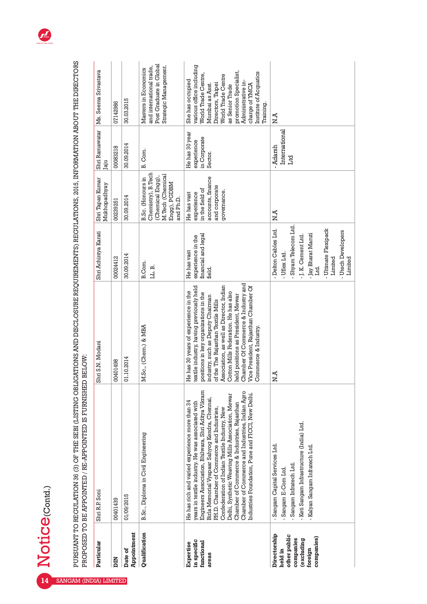|                                                                                             | PROPOSED TO BE APPOINTED / RE-APPOINTED IS FURNISHED                                                                                                                                                                                                                                                                                                                                                                                                                                                                    | BELOW:                                                                                                                                                                                                                                                                                                                                                                                                                               |                                                                                                                                                                                            |                                                                                                               |                                                         |                                                                                                                                                                                                                                                             |
|---------------------------------------------------------------------------------------------|-------------------------------------------------------------------------------------------------------------------------------------------------------------------------------------------------------------------------------------------------------------------------------------------------------------------------------------------------------------------------------------------------------------------------------------------------------------------------------------------------------------------------|--------------------------------------------------------------------------------------------------------------------------------------------------------------------------------------------------------------------------------------------------------------------------------------------------------------------------------------------------------------------------------------------------------------------------------------|--------------------------------------------------------------------------------------------------------------------------------------------------------------------------------------------|---------------------------------------------------------------------------------------------------------------|---------------------------------------------------------|-------------------------------------------------------------------------------------------------------------------------------------------------------------------------------------------------------------------------------------------------------------|
| Particular                                                                                  | Shri R.P. Soni                                                                                                                                                                                                                                                                                                                                                                                                                                                                                                          | Shri S.N. Modani                                                                                                                                                                                                                                                                                                                                                                                                                     | Shri Achintya Karati                                                                                                                                                                       | Shri Tapan Kumar<br>Mukhopadhyay                                                                              | Shri Ramawatar<br>Jaju                                  | Ms. Seema Srivastava                                                                                                                                                                                                                                        |
| <b>NIC</b>                                                                                  | 00401439                                                                                                                                                                                                                                                                                                                                                                                                                                                                                                                | 00401498                                                                                                                                                                                                                                                                                                                                                                                                                             | 00024412                                                                                                                                                                                   | 00239251                                                                                                      | 00083218                                                | 07142986                                                                                                                                                                                                                                                    |
| Appointment<br>Date of                                                                      | 01/09/2015                                                                                                                                                                                                                                                                                                                                                                                                                                                                                                              | 01.10.2014                                                                                                                                                                                                                                                                                                                                                                                                                           | 30.09.2014                                                                                                                                                                                 | 30.09.2014                                                                                                    | 30.09.2014                                              | 30.03.2015                                                                                                                                                                                                                                                  |
| Qualification                                                                               | B.Sc., Diploma in Civil Engineering                                                                                                                                                                                                                                                                                                                                                                                                                                                                                     | M.Sc., (Chem.) & MBA                                                                                                                                                                                                                                                                                                                                                                                                                 | B.Com.<br>LL.B.                                                                                                                                                                            | Chemistry), B. Tech<br>M.Tech (Chemical<br>(Chemical Engg),<br>B.Sc. (Honours in<br>Engg), PGDBM<br>and Ph.D. | B. Com.                                                 | Post Graduate in Global<br>Strategic Management.<br>and international trade,<br>Masters in Economics                                                                                                                                                        |
| in specific<br>functional<br>Expertise<br>areas                                             | Engineers Association, Bhilwara, Shri Aditya Vikram<br>Chamber of Commerce and Industries, Indian Agro<br>Industries Foundation, Pune and FICCI, New Delhi.<br>Delhi, Synthetic Weaving Mills Association, Mewar<br>Birla Memorial Vyapaar Sahyog Kendra, Chennai,<br>He has rich and varied experience more than 34<br>years in textile industry. He was associated with<br>Chamber of Commerce & Industries, Rajasthan<br>P.H.D. Chamber of Commerce and Industries,<br>Confederation of Indian Textile Industry, New | Chamber Of Commerce & Industry and<br>Association, as well as Director, Indian<br>Vice President, Rajasthan Chamber Of<br>textile industry, having previously held<br>le has 30 years of experience in the<br>Cotton Mills Federation. He has also<br>positions in key organizations in the<br>held positions as President, Mewar<br>industry, such as Deputy Chairman<br>of the The Rajasthan Textile Mills<br>Commerce & Industry. | financial and legal<br>experience in the<br>He has vast<br>field.                                                                                                                          | accounts, finance<br>and corporate<br>in the field of<br>governance.<br>experience<br>He has vast             | He has 30 year<br>in Corporate<br>experience<br>Sector. | various office including<br>promotion Specialist,<br>Institute of Acquatics<br>World Trade Centre,<br>World Trade Centre<br>She has occupied<br>Administrative in-<br>Directors, Taipei<br>charge of YMCA<br>Mumbai as Asst<br>as Senior Trade<br>Training. |
| Directorship<br>other public<br>companies)<br>companies<br>(excluding<br>foreign<br>held in | - Keti Sangam Infrastructure (India) Ltd.<br>Sangam Capital Services Ltd.<br>- Kalyan Sangam Infratech Ltd.<br>Sangam Infratech Ltd.<br>- Sangam E-Com Ltd.                                                                                                                                                                                                                                                                                                                                                             | N.A                                                                                                                                                                                                                                                                                                                                                                                                                                  | Shyam Telecom Ltd.<br>Delton Cables Ltd.<br>- Ultimate Flexipack<br><b>Utech Developers</b><br>- Jay Bharat Maruti<br>- J. K. Cement Ltd.<br>- Uflex Ltd.<br>Limited<br>Limited<br>Г.<br>Т | N.A                                                                                                           | International<br>Adarsh<br>Ltd                          | N.A                                                                                                                                                                                                                                                         |

PURSUANT TO REGULATION 36 (3) OF THE SEBI (LISTING OBLIGATIONS AND DISCLOSURE REQUIREMENTS) REGULATIONS, 2015, INFORMATION ABOUT THE DIRECTORS PURSUANT TO REGULATION 36 (3) OF THE SEBI (LISTING OBLIGATIONS AND DISCLOSURE REQUIREMENTS) REGULATIONS, 2015, INFORMATION ABOUT THE DIRECTORS



Notice<sub>(Contd.)</sub>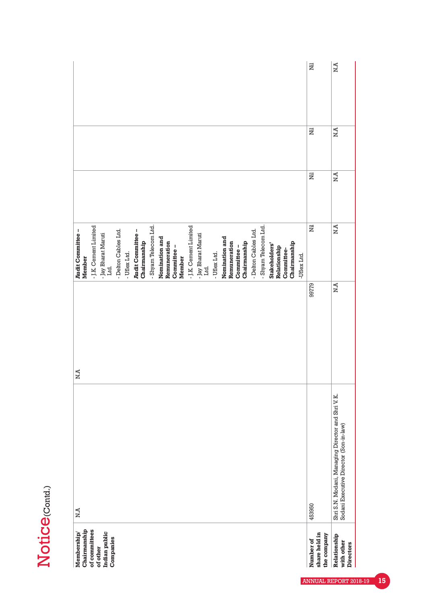| ı |
|---|
|   |
|   |
|   |

| Membership/                               | N.A                                                                                         | N.A   | Audit Committee -                    |             |     |     |
|-------------------------------------------|---------------------------------------------------------------------------------------------|-------|--------------------------------------|-------------|-----|-----|
| of committees<br>Chairmanship             |                                                                                             |       | - J.K. Cement Limited<br>Member      |             |     |     |
| Indian public<br>of other                 |                                                                                             |       | - Jay Bharat Maruti                  |             |     |     |
| Companies                                 |                                                                                             |       | Ltd.                                 |             |     |     |
|                                           |                                                                                             |       | - Delton Cables Ltd.<br>- Uflex Ltd. |             |     |     |
|                                           |                                                                                             |       | Audit Committee -<br>Chairmanship    |             |     |     |
|                                           |                                                                                             |       | - Shyam Telecom Ltd.                 |             |     |     |
|                                           |                                                                                             |       | Nomination and<br>Remuneration       |             |     |     |
|                                           |                                                                                             |       | Committee-<br>Member                 |             |     |     |
|                                           |                                                                                             |       | - J.K. Cement Limited                |             |     |     |
|                                           |                                                                                             |       | - Jay Bharat Maruti<br>Ltd.          |             |     |     |
|                                           |                                                                                             |       | - Uflex Ltd.                         |             |     |     |
|                                           |                                                                                             |       | Nomination and                       |             |     |     |
|                                           |                                                                                             |       | Remuneration                         |             |     |     |
|                                           |                                                                                             |       | Chairmanship<br>Committee-           |             |     |     |
|                                           |                                                                                             |       | - Delton Cables Ltd.                 |             |     |     |
|                                           |                                                                                             |       | - Shyam Telecom Ltd.                 |             |     |     |
|                                           |                                                                                             |       | Stakeholders'                        |             |     |     |
|                                           |                                                                                             |       | Relationship<br>Committee-           |             |     |     |
|                                           |                                                                                             |       | Chairmanship                         |             |     |     |
|                                           |                                                                                             |       | -Uflex Ltd.                          |             |     |     |
| share held in<br>the company<br>Number of | 453950                                                                                      | 9779  | Ë                                    | Ë           | Ë   | Ë   |
|                                           |                                                                                             |       |                                      |             |     |     |
| Relationship<br>with other<br>Directors   | Shri S.N. Modani, Managing Director and Shri V.K.<br>Sodani Executive Director (Son-in-law) | $N.A$ | $N.A$                                | $N.\bar{A}$ | N.A | N.A |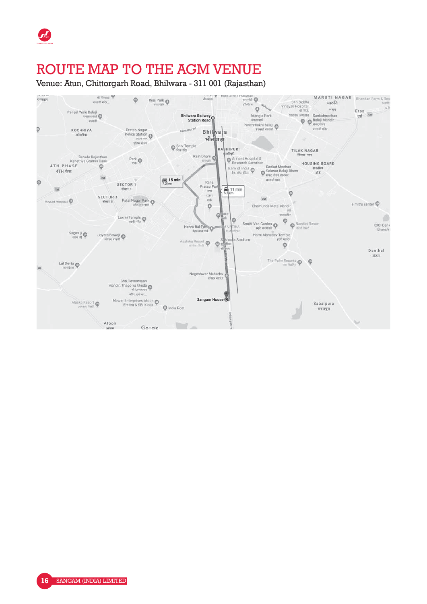## ROUTE MAP TO THE AGM VENUE

Venue: Atun, Chittorgarh Road, Bhilwara - 311 001 (Rajasthan)